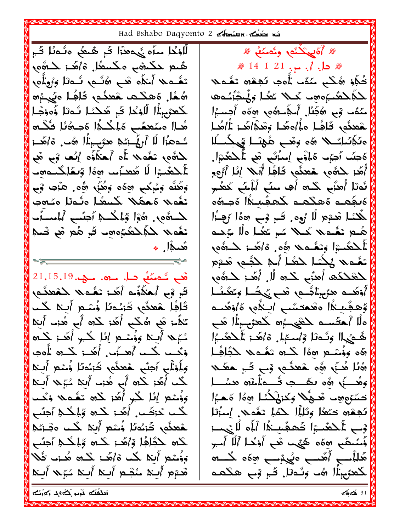Arad Bshabo Daqyomto 2 ملحقه بمعنى بدين بين لَهُ مَا مَنَّ مَ مَعْنَهُمْ وَأَسْمَدُ مِنْدَمًا لَهُمْ & أَهَا مِيْلُمُهُمْ وَشُمَعَهُمْ الْمَرْكَمَ الْمَرْكَبَ مِنْ مَسْتَقَلِّ مِ ھُىم مكْسُى مكْسِعًا. ةَاهَـٰۃ كَـُوَّە @ 14 1 21 ... . . . . 0 تُكْبُوْ شُكْبٍ مَكَمًا مُأْهِبٌ لَّهِمْهِ تَعْسَمُ للأَمل مُسْبَرِهِ وَسَلَّمَ لَهُمْ وَلَمُحْتَنُوهَا هُهُا. هُعكَتْ هُعِنُو، ثَافُها مِيْنُ هُ ِكْعِرَ بِرَٰ*ٰذًا* لِّلَوْحُلِ ثَمِ هَٰكِـٰـًا نُـٰهِنَا وَوَوْجَـا مَكَّف فِي هُجَّنُا ۖ أُسِكِّسَةُو ۖ وَهُوَ أَحِسبُرا هُـاا مَمَعمَى هَلِكُـدًا هَجِـهُنَا فَكُـه هَعندُو، قَاهُـا مأَٰاءمًـا وفَدْأَاهُـ: أَٰاهُـا شُمْعَزَا لَا أَرَبِّي بَمُجْ هِرَّي بِرَٰدًا هُبٍ وْأَهَدٍ. دَكْبُكُسْ الْمُدْمَّةِ وَهْبِ هُهْسًا فَيُحِكْسُلُا وَّجِفُ أَجَزِفَ وَلِمْهِم إِسْتُفَي هِي لِمُحْمَدِ الْمَسْتَقِيلِ كِمُوهِ، تَعْدِيد لَمْ أَحْكَمُوْهِ إِنَّفَ قِي هُمْ أَهَٰ: لِحَوْهِ هُعَدُو تُاهُا أَآما إِنَا أَرْوِهِ لْمَحْمَدِ ٱللْمُعَذِّبِ وَهُ أَوْتَعَلَّمُنَّدُوب ثَهْلَا أُهَنَّى كُلُّهَ أُفِّ مِثَّى أَبْلَتَى كَعُبُر وَهُلُه وَيُرِكُبِي 200 وَهُلُو 30 رُهُو. هَزْبِي وْبِي ەنبۇھىم ەھكمىم كىھبۇسىكا ەجىھە تَعْمَلا مُعَصَّلا لَمْسَعُلَ مِنْمَالِ مَنْهُم لَكْتُلِ هُدْمٍ لَّا يُوهِ. ثُم قِبِ هِهَا يُهِيُّا لك 70%. 36أ وُلِمُكُمْ أَجِئَبَ أَلِمُسَأَب مُعرِ تمُعدِ حَمِلًا مَہِ صَحْلِ وَلَا جَمْدِ تَعُمِد لِلْكَلِمُكُمُ وَمَن تُهِ هُمْ شَي شَمْ تُمْحَصَّيْهِ! وَصْعَمَعَهُ بَيْهِ. ةَ/هُــز حَــقُهِ، مُصِمَّالِ \* تَعْمَد لِكْمَا حَقُاً أَجْ حَبَّمٍ مْتَرِم <u>the se</u> لحَقَدَكَمَهِ أُهْبَى كَلَّهِ لَل أُهُدَ لَحِقُوبِ قب شمسًهُ صلى ده. حجه 21.15.19 ثَمِ وْمِ أَهٰلُمُوَّے أَهُد تَعُـه لِلْمُعدَّـمِ أَوْهَد هَيْ الْكُرِّبِ هُم مِنْ الْمَحْمَدُ الْمَحْمَدُ الْمَحْمَدُ قُاهُا هَعنُو، خَرْحُمَّا وُسْعِ أَبِنا كُب وَّهقِّيتِكَا وَهُعَمَّسَبِ إِيتَكُوبِ وَأَوْهََيتُ تَكَمَّــز ثَنِي رَمُكُنِي أُهُدِ كَلِمَ أَبِي هُدِفٍ أَيْنِكَمْ وَلَمْ أَحْصَٰبَ مِنْ مِنْ الْمَدْرَبِ إِذَا مُحَمَّدٍ سُبَرِيهِ أَيْنَهُ وَذُسْمَعُ إِنَّا لَكُبُو أَهُدَ كَلَّهُ َّقْدِيْرَا وَنُدْلَا وْاَسْتَمِلْ وْاهْدْ لْمَحْشَرَا هُه وَوُسْعِ هِهُمْ كُلُّهِ تَعُـهِ لِكَبُاهُـا وَكَسَبَ كَسَبَبٍ أَهْسَاءَ كَسَبًا مُخْسَرِ مَنْ أَوْجِبَ هُنُا هُـَنَ، هُ٥ هُعنفُـهِ، وْبِ كَــرِ هعَــدَ<br>وَهُـــــَـزَ، هُ٥ نَهْـــد تُــــمَلَّـنْه مَــُــــا مَأْذِلُم اُحِنَّى هَعِنُو خَرْعُونَا ذُسْعِ أَبِـٰهَا لَكَ أَهُدَ لَّكُ أَبِي هُدَبٍ أَنِيْمَ سُبِّيهِ أَبِيدًا وِفُسْم إِنَّا لَحْبِرٍ أُهُدَ كُلُّهِ تَعْمِيهِ وَكَــَــ تَصَمَّعُوهِ مِنْ هُجُمْهُ وَكُنْزَهُكُمْ أَهْمَا هُجُمْ كُــد كَـرْضُـد, أُهُــز كَـــره وَّلِمُــكِمْ أَجِئَب تَجْعُرُه حَتَمَا وَتَلَلَّا حَدًا تَعُدِينَ إِسْرَٰنَا هَعدُور خَزَعُونَا وُسْعِ أَبَدْ كُبِ وَجْزَعَةِ وْبِ تَكْحَمْتِهَا خُعِجَىتِكُا أَيَلُو لَا يَهْتَزَ كَلُّهِ حَجَّاهُا وُاهَٰ: كَلُّهُ وَلِمُحْظِ أَجِئُبَ ذَّمَنْتُمْ وَوَّهَ هَيُّتَ مْنَ أَذْكَرَا أَلَّا أُسْرَ وَوُسْعِ أَبْنِهِ كُبِ ةَ/هُــزِ كُـــرَّهِ هُــزِبٍ ثَقُلاً هَللْمِبِ أَهُمبِ وَيُجِبُبِ وهَوَ كُلْسِيْنِ هُجْمِ أَبْدِ مُجْمِ أَبْدِ أَبِدِ مُجْهِ أَبِي لَكْعَرَّجِينًا! هُ- وَنُـدَلَّا. ثَـبِ وْبِ هِكْمـد تلناهم بالخطر بمهذ تطفلخ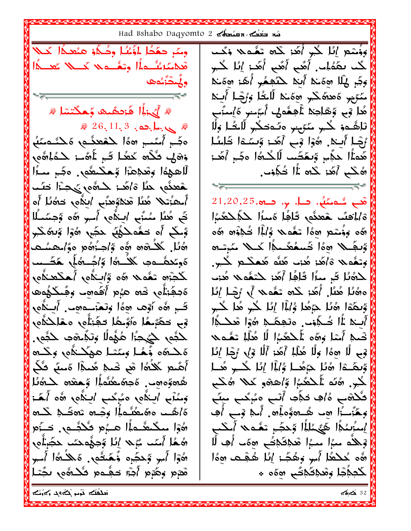ad Bshabo Daqyomto 2 متأمين Had Bshabo Daqyomto 2 وسَرِ حَمَّدًا لِمَخْشَا وَحُكَّوْ عِنْعِدًا كَلَّا وَوَٰعْمِهِ إِمَا لَكِ أَهَٰذِ لَمُن هُمُعَلاً وَمَّمِد هجامتانك وأردقك وتفسح المسلا تعجبا لَّک ںعَمَٰلِی ٖ اُھُپ اُھُپ اُھُنے اِنَا لَکبو وَجَمِ بِلَا هِ مَنْ أَبْدِ لَمَنْهِهُمْ أَهْدَ هِمَنْ وَهُنْدُّنُّهُ مَعَنِي هَمحدَهُكُبِ رَوهَنَدَ لَاعْدَا وَرُجْلَ أَبِنَدَ & أَيْهَٰذُا هُرْحِهُ هُم وَ هَلْتَسْلُمْ الْمَرْجَعَةِ مِنْ مِنْ مِنْ الْمَرْجَعَةِ مِنْ الْمَرْجَع هُا وْبِ وَْهْاجَهْ غُاهِفُهِل أَجْتِ وَاسْتَبِ  $26.11, 3.9.1.8$ تَاهُـدۇ كْبر مُنَىٰنِ دَنُـدَكْبر لَّالتُـا وَلَّا ەكَبْر أَمَّىبِ ھەُا للْقَعْلُمُ مَلْتُمْتَكُمْ رُضًا أَبِيَا. هُوْا فِي أَهَدَ وَسَيْدًا خَاسُلًا هَٰدَأَا حَجَّى وَمَعَّصُب لَاحُدُّهُ! وَجَـٰٓ ٱهَٰـٰٓ ۖ وْهَا حَكْمَ حَمْدا ثَبِ نَأْهُــز حَمْلِهُمْ لْاهِجْدَا وَمَٰذِهِمْ وَحَكْمَتُومٍ. وَكُبِرِ مِحْرًا ، هُكُم أَهُدَ كُلُّهَ لَمَّا خُكِّفٍ. هَعدُو حدًا ةَ/هُــز مِـهُوم بَيجِــزًا حَسَّـ أَمعنُتم هُلا هُدَاوُهنَّى ابْذُو حَمُّل أَه قب شەمئۇ. ھا. ب. ھە.21.20.25 نَّے هُنُا مُنۡزَى ابْذُو اُسِرِ 6َهٖ وَۡحِسَٰىلًا ة/احَسٌ هَعجُمٍ ثَاجُا هَمِرًا حَكَمِكْتُوا وَهُ مِهْمَمٍ وَهُمَا يَعْمَدُ وَٱلْمَالَ خُلِمُوْهِ وَوَ وَّىكُمْ أَهْ حَشَّەكُهُمُّ حَجَّى هُوْا وَتَهُكُمْ هُنُا. لَكُنُوْهِ هُوَ وَٱجِنُوْهِ وَوَٱلصَنُتَ وَّلِكُلا 30\$ تُسْمُعُنْدِمُ! كَلَلا مَدِيْنِهِ وتَعْمَلا ةَ/هَٰ: هُٰ: هُنُم هَٰدَهُ كَلْمَكُمْ لَكُبْرٍ. هُومُحصَّــوب لَحَــُـوهُ/ وَۗ/جُـــوهُۖ لِهُ هَجَــــب كْجْزْه شْهَىلا هُه وَاسِلْهِ، أَحْكَمْنِلُهِ، لِحْمُلًا ثَمِ سِرًا ثَافِلٍ أَهَٰذٍ لِحَيْفُولِهِ هُذِبِ هِ مَعْنُل مُعْلَى أَهُدَ حَكْمَ شَفْعَهِ ﴾ رُضًا إِنَّا ەَجِجَْنَلُوم خُرە ھَزُم أَقُورەت وِجَّىكَكُوھ كُمْ رَوْهِ أَوْمَا رَوْمَا وَتَعْزَمُوهُمْ. أَيْتَكُلُّهُمْ وَّىعَةَا هُنَا حَبَّعُا وُ}،أَا إِنَّا كُبِي هَا كُبِي وْمِ حَجَّئِهُا وَأَوْحَمَا حَجَّنَاْوِرٍ وَهَالِحَدُّورِ أَبِنا نَا دُجُوْبٍ وَتَحِصَّــا هُوَا مَحْـــٰهِ! خْمِدِ أَمْمَا وَهُو مُكْتَمِيْرا لَا هُلَا تَشَوِيهِ َ حَجَّمٍ ۖ حَكِيجُ ٰ صَوْْمَاً ۖ وَتَكَلِّمُوْ حَجَّمٍ ۖ حَجَّمٍ ۖ فِي لَا هِهَا وِلًا هُذَا أَهَٰذِ ٱلَّا فِي رُجَّا إِنَّا ەَكەُە نُمُّا بِسُّلَا مِكْنُمْ بِكْسُ أَهُـم لَلأُهُا هُـ ضُـمْ هُـمْ! هُـمَّ فَكُـ وَّىكَــدَا هُنَا حَبَّعُــا وُٰآٰءُا إِنَّا ـكُــبِ هُــا ھُەۋەھە. ەَجەھھىلَّەلُم قەھھە كىمائا لَّكُبِرٍ. هُنَّهُ غُلِّكَعُبُرا وَاهِهُو كَلا هُكُبِ بَعْدًا وَهُ رِهِ الْكِلْبِ وَمُبِكَسِ الْمَحْمَدِ الْمُعَامَ ثَلَاهُبِ هُ∕ُڢ دَبَّے اُنْب هُبُرْكَب مِنَّے هُ/هُــــ ههُــعُلُــهِ﴾ا وجـــه 20خَـــمِ لَـــه وَهَّنْسُنَا هِـد هُــهوَّه اُهم ِ أَمِلِ وَسبِ أُهِ إِسْتُمْلًا هَيُمْلِلًا وَحَجَمٍ تَعْـَمِـلا أَسْتَـٰبِ هُوْا سِكْيغُـواْ هــرُم فَكَجُــوں حَــرُم هُهُا أَمِّد يُبْدِ إِنَّا وُجِهُْمِنْكَ حَجَّبِنَاهِ وْحِلْتُ مِبْرَا مِبْرَا شَدِّئَذِكُمْ وَوَى أُفِّ لَٰا هُه مُحْمَدُا أُمِرٍ وَهُجَةٍ إِلَا هُقِمَ هَهُا هُوْا أُمِرٍ وَحَكَمِهِ وُّهُنتُمِ, هَـٰذُهُا أُمـِر هْزِم وِهُرْمِ أَجْرَا حَفِّـهِمْ فَكُـرْهُمِ نَجْتَـلْ لكَجمُّجْا و<sub>َ</sub>عْجَدَّكُجْثُمِ وَهَءَ \* بحناأبلاء كالمخط سأله بحلفكة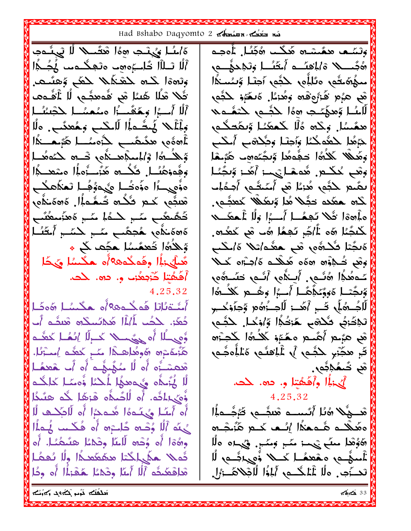Arad Bshabo Daqyomto 2 ملحقه بمعنى بدين بين ـْمَصْرِينَ الْاسْتَمَّةَ اهْمِ صَـْرِيْ النْداة وتسّم همّىتى» هُكّى %جُبًا. أوجـ أَلَّا تَـالَمَ خَاـــَمُّوهب وتَـمِكْــومب لِمُجُـــٰ<ًا هُجُمِـــلا ة/لمقصّــه أَمتَنُــا وَتَلِمَحُهُـــم وتحة الكحر لمشنَّكم لمكن وُهسُم. مَدَّهُمَتُم مَثَلِلُوم حَجَّم أَجِنَـا وَسُمْتُمَّا َثَلا مْلًا هَىنْا مْي قُومشُو لُ*ا* أَنْفُوم هُم هزُم فَرْزُوقُه وِهُننَا. ةَبِعَزَهُ لَحْقِهِ ٱلْلا أَسِبْرا وِهَقَسْهُا مِنْعِسْا لِكَبْسُلَا لَّاسُل وَُهِجَّمَت وَوَٰا كَجَّــهِ كَتَمَّــهَــلا وَبْمَثْلَا ۖ لَمِنْشُمَا ۖ الْعَنْبِ وَهُمْتَنَبِ ۚ وَالْا ھمَسُل وِكْلَّة هُلَّا كَمِعْنَا وَتَقْصَلُونَ أضمن من المستمر المستمر المستمر حَرَمُا حَمَّدَكْمَا وَاَحِنَـا وَجَحْدَى أَسْكَب وَجَلَا وَالْمُسْتَوْمِينَ وَمِنْ حَسَمَهُمْ الْمُسْتَوَمِّينَ وَهُلُلًا ۖ لَلْأَهُا حَجَّمَعُا وَُبِجُمُومٍ ۖ هُزَيْهَا وَقُودَهُنُــا. فَكُـــــةِ هَٰذُــــزُّولَمِا وَعْمَــــكِّا وَهْبِ كُكْتُمْ. هُدَهْلَيْ مِنْ أَهَٰذٍ وَّنَجُّنُـلْ ىمَّىم حْثُم، هُزْمُا هْمْ أَمَّىشُم، أَجِمَات وفَعِيداً وذَوتُ الْمُحَمَّدُ مِنْ الْمَحِرُوفُ هْلِجُم كَــمْ فَكُــه خُــفُــماً. هَ¤هَــٰلُهِم لاه ـ ـ ـ معَكده حَجَّلا مُد*ا وَّىعَكْلا ل*َحْجَـهِ . وأردةا تُكلا تَجهُــا أُـــبُرا وِلًا غُـعتَـــــلا تَكْتَصَعَّى مَّى كَلَّهُ مَّى مَّاتَّ مَتَّمَعَّنَى كَاهِكْمْلِ هُجِمَّى مِّى كَسَّرِ لَهُ تَمُّلُّا لْكَنِّمَا هُوَ أَأَيِّ نَجِعًا هُبَ هُوَ كَنْفُتُو. وَْ اللَّهُ الْحَمْسُلَ هَجَمَ لَكُلَّ ﴾ ةَبِّسْمَا فَكُلْمُومٍ هُلْ هَقُدَاتِكَ ةَاسْكُلْمَ هُلْيُ ذِهُمْ وَهُدَدُهِ؟ أَنْ مَكْسَلًا وَيُجَا وَهْدٍ خُبْلُوْنَ 500 هُنْگُدَ 16جَنَّاه كَمْلًا حَدَهُمُ الْمَنْسِمِ. أَبِنَدُومِ أَنَّسِمِ حَنَّــوَّومِ أَهَٰهُنّا خَزْدِهُنّ و. ده. لحم. وَبِّسْا هَوَمِّيْهُمَّا أَسْرًا وَهُــو كَلَّــوُا 4.25.32 أَمْتَالُوْلَ هُمَكُمْهِ؟ أَو حَكْمَنُا وَوَضَا لَّاجُــِهُلِّ ثَـــرِ أَهَـــز لَّاجـــزُهُم وَّجِدَّفِكْــبِ دُهَٰ: حَدُب أَ/َأَا هَٰدَسَٰدُه مْعَفُ أَب تَجْخَرْجُ فَكُلُّفَ هُرْخُجًّا وَۗاوَكُـا. كَجُـم مَعْدَ الْمُدَّ الْمِسْمَانِ كَسْرِيْهِمْ وَأَ الْمُرْوَةِ هُمْ هَبُمُ أَهُمُو مَعَّةٍ لَكُمُّا كُحِنْتُ هَّنْمَّتِرْهِ وَهُواهِـدًا مَّـرٍ كَعَّـهِ إِسْتَرْبًا. كَمِ هجَّتَهِ حَجَّمٍ ﴾ لَمَاعَفُ مَا أَمَاهِمَ مْحَمَدَةُ أَو لَا حُجَّجَدَ أَو أَبِّ هَعْمًا ْ هَمْ خُمُجْجُمْعَ. لْلْهُ يُتَمِدُّه وَيُحْمَلُهُ لِمُعْمَرِهِ وَلَهُ يَهْرِيْهِ الْمُسْتَمَرِينَ مِنْهُ يَسْتَمْرِينَ و أَيْ ذَٰلًا وأَهَٰهُنِّهِ و. ده. لحمه. .<br>وَّىَ لِمَا هُو. أَو الْاَصَـٰأَو فَرْهَا لَكُو هِنَّىدًا 4.25.32 أَه أَسَا يُحَدِّهُ! شُـددُ! أَه لَلْكَـد لُل مْـــوْبُلا هُنُا أَنُـســه مْنجْـــهِ ثَبُجْـــهِلَا وهُلْكُمْ هُمْهَٰٰهُۚا إِنَّـٰهَا كَلُّمْ هُزُبْجُلُهِ يُهُ ٱلْأُ وُتَّـهِ دَّاــْهِ أَه فُكَّــب يُـمَلُّا وهُوْا أُو وُحْدِهِ لَلْمِلَا وِخْلاِمَا هِنُبِهُمُا. أُو لَّهُ وَاصِلَ بِهِمْ مِنْ مِنْ مِنْ الْمَوْرَةَ مِنْ مِنْ مِنْ مِنْ مِنْ مِنْ خُملا حكَّى لِكْتَا مِنْفَعَمِدُا وَلَا نُعِفَ الْمِمْشُمِينَ مُحَمَّلٍ مَنْ الْمُعَدَّدَةِ مِنْ مَثْلِمَاتَ هْاهْكَنْدُه أَلْل أَمْلَا وَشَمْئَا هَٰذَا أَنْ وَدًا تَحْذَبَ وَلَا تَمْلَكُمِ أَبْلُوا لَلْقِلاهَــزُلِ بحشأبته عرَّفت بمهنَّ بحثفت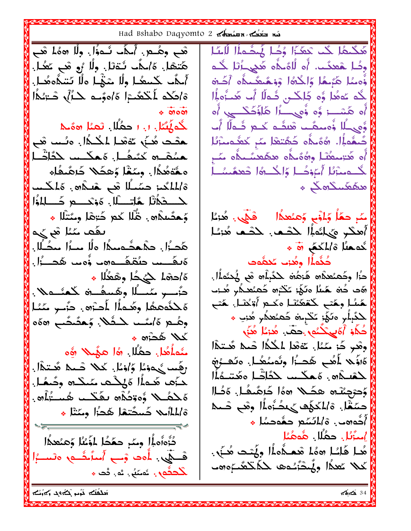Ariad Bshabo Daqyomto 2 مليخكة بمثل Had Bshabo Daqyomto 2 هَكُنفُا كُبِّ تَعَكِّزُا وُجُبَا هُنَّدَهِ الْأَسَّارِ هُبِ وِصُـْعِ. أَيْجُبُ نُـُدَوَٰا. وِلَا 160 هُبِ هَٰتِهَا. هَ/مِلَّفٌ شَوْتَا. وِلَّا رُو هُجْ عَعْدَا. وحُـا هَعندَـــ. أَه لَٰاهُــدُه مَّنيــرُثا لَهُــه أَحِدًى كَسِعُـا ولًا عَنْهَـا ولًا تَسْلُوهُـا. وْْمِيْا هَٰٓبُـِهَا وَالْحُمَّا وْوْهُبِعْبِـدِهُ أَجَـٰهَ ةَ اصْحَدَ أَخْتَصَـًٰٓٓٓٓ إِلَّاهُ وَّ؎ كَــَارُ لَهُ شَـٰئِكُمَّا لَّٰٓدُ عَاهُدا وَّہ جَٰلِكُمْنِ شَالًا أَبْ هَٰمِّزُهِ اُ أَهِ هَسْدَ وُهِ وُهِيساً هَاؤُكُمْسِي أَه  $* 000$ وَّەن اللَّهُ وَمَحْمَد مَثْقَدْ مَنْ اللَّهُ مِنْ اللَّهُ مِنْ اللَّهُ مِنْ اللَّهُ مِنْ لَحْمَهُنَّا. ١. ١ حمُلًا. تعنا ٥٥ مُ كَنْفُوذًا. 5ْمُنْذُه كَتْتَعْدَا مَنْ كَتْتُومْنْزْنَا ـمقَـت هُــَىٰ ـتَّەتْعَــا لِمُــُــهُا. ونُــب قب ھسُفَــە كَسُفُــا. ەَھكَــىب كَثَاتْــا أَه هَٰتِسمُنْلَ وِهُدَّى هُ هِ هُمْشَــدٌهُ مَـٰـرٍ ەھّەھٰدًا. ومَغْا وَھكْلا كَرْهُىفَاھْ لْكَـــومِنْزَلَا أَيَرْوَكُــارِ وَالْكُـــرَهُ| كَعَمَّمُسُــار ةالملكنز حسَّىلًا هُم هَمْدُهِ. 16كْس  $\ast$   $\mathbb{Z}$ olusto  $\mathbb{R}$ لكَـــفَدُّتْلَ هَاتَــــْلَل. هَوْجْـــــعر كَــــالمُوُّا وَحدُمهُ(و). مَثَّلًا حُم حَـٰزِهْا ومِنْتُلًا \* مِيِّرٍ حَمَّاً وَلَمْقِي وَعِنْعِداً ﴾ فَجِّي . هُـ:مُّا مرڈ ہمّ اشٹہ تصفّ أُهكر وَيَاشَهُمُ لِكَسْمٍ. حَضْمَهُ هُزَيْنَا هَدُ: ). حكَمحُدمجُّا ولًا سِيرًا محُبَّلًا. لَّا تُدْهَلُ وَالْمَكْمَ \* \* \* ەُنگىسى مۇقگىدەن ۋەمدا ھُجىداً. كُثُماُل وهُزم كَحقُوب دَٰۥ وحَمنُعدَاه هَٰ;هُ؋ ححَدٍ أَه هَى هُحتَه أَ. ة/دهْمْ لِمَهْكُلْ وْشْعُلْلْ \* الَّهَ دَالَةَ الْهَنَاءَ مَنْكُمْ: مَكْثَرُوهِ كَعَنُعْلَمُ وَهُدَاتِ دَّىب مَّىبُلَّا وِهَيْدُمْ فَيْ كَمْشُدْلًا . هَسُا وهَبْ كَعْعَنْنَا مَحْم أَوْحُنَا. هَبْ هَٰٓ حُذُهِهَا وِهَٰٓ مَآٰ ۖ أُحِنُّو ۖ وَّ صَبِر مَّمُـٰٓ ۖ لْحَدَّبِلُرِ دَنَّهُۥ مُكْبِية خَعْنُعْدُرِ هُٰٓ، ﴾ وهُــع هُ/مُــَـــ كـــقُـلا. وَـعتَــمَــع 200 صُلَّاهُ أَهْلِيَكْمُ بِحَقٍّ. هُنْكُوهُ أَهْلُ كملا كهشته \* وهُدٍ هُ: سَمُّا. عُاهْدا لمَكْدًا صْبِهِ هُـتِمْا مْعَلُّهُا. حَمُّلًا. %ا عَهُمْلاً وَّه كَافَى لَمُكِ كَحِبَا وِتُمِنْعُماً. وتُعَهُّو رِفَس يُءِمُل وَ/وَمُل. كَمَلا ۖ تَسم مَّتَدَاْل. كْهْبْدُهِ. هُمْكْسْ حْثُلْتْمْ مْعْتْبْدُلْمْ حَرَّهَا مَكْتَمَاً وَكَلَّهَا مُتَكَلِّهَا وَشَعْبًا. وَحرْجِنْنَـْهِ هَڪُـلا هوُا ڪَاهُـفُـا نَ وُڪُـا كَلْمُلْكُمْ وُهْوَدُلُهُ لَفَكْلُمْ هُسْتُزَلُّهُ . حَسَمٌا. 143كَمُهـ حَمْدُ الْمَمْتَ مِنْ مَسْتَمَمَّاتِ مِنْ الْمَسْتَمَمَّةِ مِنْ مَسْتَمَمَّةٍ مِ ةالملأسلا حُسحٌتها هُدُرًا ومَنْنًا \* ﴾ أَحْده ب 16كْسُم حَمَّدَسُلَ \* لا إِسْئِبُل. حمُلًا. هُومُبُل - دُّوْهِ أُما إِلَى الْمَحْمَدُ الْمُحْمَدُ الْمُحَمَّلُ الْمُحَمَّلُ الْمَحْمَدُ |هُـا هَابُـا ههُا هُـمـذَّهاْ! وِيَهْـد هُـنِّي. فَسَمِّي. أَوْدَ وَسَمَّ أَسْتَنَفْسِ وَتَسْتَرَا كلا تعدُّا وهُتَنُه ها كَلَمْتَكُمُوه لْكَحثُم . شَمَ*نُ* . ثُم . ثُعبُ . تَحْلُقُكُمْ مَوْمَوْكُمْ بِمَاهَمْ يَحْلُقُكُمْ  $4.54$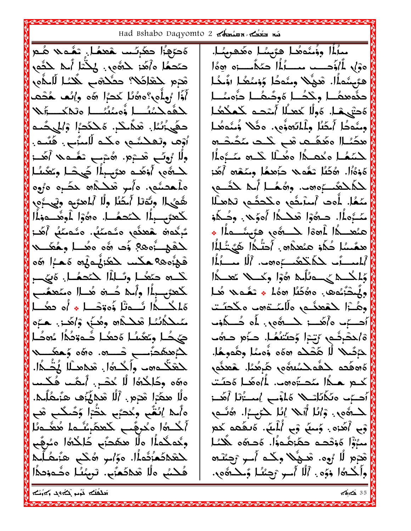Arad Bshabo Daqyomto 2 ملكتكم Had Bshabo Daqyomto 2 هَدَوْدًا حَعَرِيَّت هَعْمًا. تَمُّدَمُّ مُّع حَنْحَمُّا هِ}َمَّ: حَدَّةَهِ. كِخَّةَا أَمَّا حَدَّمٍ، مْدْمِ حَمْلَكُمْ؟ حثَكْمَى ـ هُـُـُـلِّ لَلْــدُّورِ أَوَّا ہُولُو،؟ہ%لا کَھبُرا ۞ہ وِإِنُ**مَ** ـُمُّتَھ حْدُهِ حَسْنُهُ أَوْمِئْنُهُ ﴾ [ من الله عنه الله عنه الله عنه الله عنه الله عنه الله عنه الله عنه ا حَصَّىٰ الْكُمُحْمَى الْمَكُمْ وَالْمَحْمَدِينَ مِنْ الْمَحْمَدِينَ وَالْمَحْمَدِينَ مِنْ الْمَحْمَد ٱوْمِ وقَعَلْمَشُمْ مَكْمَ لَّاسَنُبْ. فَسُمْ. وِلًا رُوبَے هُــْبَع. هُـْبِـِ تَـُـُــه لَهَـــز لَّكُمْ أَوْهُدُ هُرُوجِياً أَيْحَمَلُ وَعُمُدُ ا ەلمھىشە. ەأس ھْكْدُرە ھەردە ەرُوە هُدُبِياً وتُوْتَا أَحَدُا وِلًا أَءْهِدُ وَتَحِبُّوهِ لَكْعِدَ جِبِيراً الْكَحِمُّــا. وَوَّةُوا لِمُوشَّــودُاً ا مُبِكُدة هَعِنْدَ) دَعْمَتُهُ. دَعْمَتُو أَهُــٰ; للفَمِــأه&؟ وَحد هُه ههُــا وهُعَــــــه 06 |شعرة مواكر بنضك سكع 200 أوت كْـــرَه حَمَّصًـــا وتَـــالْمَا لِحَمَّصَــا. هَيَــــو كَعرَبِ بِمَا وأَسِمْ دُن هُــال متَعمَب هَٰلِكُـــٰٰهُۗا نُـــٰٰٓءَتْلَ ذُوتِكَــٰل \* أُو حِعُــٰل سَّىكِكُنُّا مْكَــٰكُلُّه وِهُــَنِ وْاهُــز. هـَزَه حَكِحُـا ومُعَمَّىٰـا هَـْعَمْـا خُـْدَوْثُمَّا مُعجَّـا كے معكَّفتُ من الله عليه عن الله عليه الله عليه الله عليه الله عليه الله عليه الله عليه الله عليه ال لِحْقَتُده وأَحْدَهُ . تَعِمْعِثُلا هُتُمُ ا. ههُه وحُلِكُهُا لُا حُصْرٍ. أَيمًت فَكَت هِ لَا مِحَمَّ ِا مَّتَرَم. أَلَّا مَدْلَبَوْ هِ مُحَلَّكَ. هأَلم إِنْقُبِ وِكُدَبَىِ حَثَّرَا وَحُنكَبٍ هُي أَكْشَا مُحْوَّىب كَعفَبِسُّما هُعْـُملُا ونُدكُداً! هلًا ممَكَّنَى خَلِكْتُه! منُوفَى ﯩﻠﻐﯩﺪﻛ**ﻪ**;ۢﻗﻪﻟﻤْﻟ. ﻩﯗ*ﻟ*ﯩﺮ ﮬﮕﯩﻲ ﮬﯘﯨﻐﯩﻠﯩﺪ فُحْبُ ولَا شَدْثَمَّنِ. تَرِيمُنُا وَشُوَدَدُا

مِدْلُمْ الْمُؤْمَّدُ وَعَيْنَا وَهُومِنَا. ووْلِي لَمْأَوْحِسِبِ مِسْلُمَّا حَمَّدَّسِــزِهِ وَوَٰا حَرَّجِئُماً. شَيْئًا مِنْمَدًا وَمَنْعُـا اذَّمْــًا حذُه محمُّـــا وَحَدُّـــا هُوحُــمُـــا حزُه مُـــا هَحْتَى هَــا. هَولًا حَمْدُلَا أَعْدَدَ حَكْمَدُهَا. وِمِنُوطُ أَمِطُلُ وِلْمُلَامُوْوِي. وَثَلا وُمُنُوطُ مَدَّمَالِ مَعَشَــم مَّــم كَــم مَشَـْـم لمُسَمَّا مَحْصَدًا مَعْسًا حْسَنَ سَبَّمَا هُوْهُۥۢڶ؞ هُكُمُّا تَعُدِيهِ جَزْهِهُا وِسَعْوِهِ أَهُدِ لِمُلْهُنَّ وَمُسْلِمُ أَسْلَمَ لَكُنَّ وَمُ مَنْهُا. لِمُوتَ أَسْتَرْمَضَ وَكَحَضَى لَمْعَنَالَ مَئْدُوماًا. حَـوَّوْا مْكَــدًا أُوَوِّىٰ. وِحُــدَّوْ ه الْمِسْمًا أَ30 \$ لِحَقَّى هُجَسَّسَمَاً هِمَسْلا حُكْوْ هِنُعِكْلِهِ . أَحِتُكُلَّا هَيَ شُلْلًا ألمعسدًا حكَم خَصَّى وها. أَلَّا مِسْدُمَّا وَلِمَكُمْ يَا سَوْنُوا وَكُمْ يَعْمَدُ ا وِيَكْتُبُصْ ، وَهُكُمُّا هُمَّا ، تَشْعِيْهِ هُـا وهُــْزَا لِكَمْعِدْے ولَّامِّــةِ20 وكُحِّتَ أَحْسَبُ وأَهُمْ لِمَ اللَّهُ وَبِي أَو حُسَلَافِ ة/حصَّرِضُم رَّتِبْرا وَحتَنتُهُـا. حـزَم حـرَّه حَرَّصُلًا لَّا هُصْلُمْ 30\$، وُّەسُا وِهُومِعُا. ەھكتە كەھكىسۇە كېغىل ھىدگە كُدِم هَذَا مَحْدَوُهُ مِنْ الْمُوَهَّا وَصَّت أَحَسِّد وَتَكْتَلَاتَـــلا وَّلْمُوْسِجِ إِمْسَتُوْلَا أَهَدَ: كُمُورٍ. وَإِمَا أَآمِلا إِمَا كَرُوجًا. هُنُمِي وْجِ أَهَٰذِهِ . وَمِنْعٌ وْجِ أَلْمَنَىٰ. هَٰنَفُعُمْ كُنْعَ سَرْوْا هُوْتْحِـهِ حَمَّرْهُـهُواْ. هُجَـهُه لَلْكُـُـلْ تَعْتَبِهِ لَمْ رُوهِ. تَعْلَيْكُمْ وَكُمْتُ أَسْوِ رُجِئْتُهُ وأَكْدَّهُا وَوَّهِ. أَلَّا أَسِرِ رَحِمْنُا وَحْدُهُوبٍ.

تمنافهم بالمحركم بالم تكلفكخ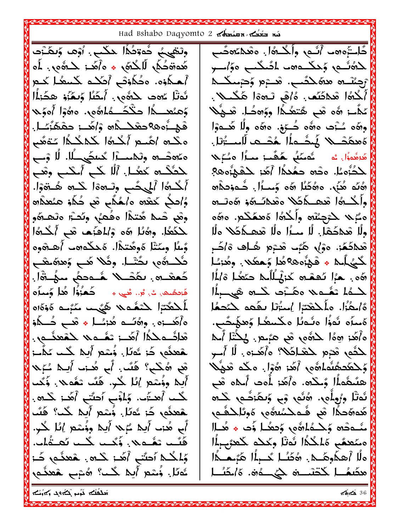## Ariad Bshabo Daqyomto 2 مليخكة بمثل Had Bshabo Daqyomto 2

وِلْتَّهِيمُ ۖ هُوَدُهُۢا ۖ مَكْبٍ . ٱوْها ۖ وَنَقَيْتُ ۖ هُدةحُكُم لَّالحُدَّى \* ه أَهُد: لَحِدُّهِ . لَمَ أَهِـكُوْهِ. وَحُكُوْثَـى أَصَدْه لَكَـبْعَدَا كَبْـعْر لَّهَ لَهُ مَلْكُم مَنْ الْمَطَّارِ وَبِمَّزُوْ هِجَزَاٰ ا وَهِنُعِيداً حَنْكَسُهَاهُوبِ. وَهُوَا أَوَوَّىٰ قْهِــنُوه؟حعْدَــدْه وْ/هُـــز حقَعَزُسَــل. مكّده اهْمو أَحْدَهُ! كَمْحُدًا حَتْمَى ەمّەتسە وتىممىساڭ كىلگىسىگا. لَا ۋىب لحثُكُ مَ كَعُمَا. أَلَّا كُلِ أَسْكَنِي وَقْبِ أَكْتُوا ٱلْمَكْسَى وِتْــْ30 كْــُرْ هُــْتَوْا. وُاحِكُمْ كَنْقُلُهُ هَا مُكْلِمٍ ثَبْيَ حُكْمَ عَنْعَدَانَهُ وثَعِ شَيْئًا هَا مَعْهُمْ وَنَصْرًا هَاتُمْ وَهُ لْمَنَعْدًا. وِهْنًا هُوَ وْلِمْعَنِّفْ هُدٍ أَيْمَـٰهُۚا وًىلًا ومَتْنَا هُوهُتمْاً. هُدكُه٥ت أُهـ۞وه ثَكْــةُى نَتْتْــا. وثُلا مَــب وِّمدهُـمْب كَمْعْدِ». تَمْشَـْنَا مُسْدَدِّي مِنْ رَقْ الْ فَرْحَمُتِهِ. تُ. مُ.. مُّنِي مِنْ الْكُمْزُوُّمْ الْأَرْضَارُ وَصَدَّهَ مَالْحَقَّتْتِرَا لِمَتَشَمَّدَ كَيْنَ سَبَّئِتَ هَٰذَهَاه ەأھَـــزە . وھُنَـــد ھُننُـــا ۞ قَــب حُـــكُمْو مْلِأَـــمكلُمُل أَهُـــز تعُـــمك لكَمْعِدْــمٍ. ـهَعدُه ۖ هَ: حُوَمًا. وُحْمِر أَبِهِ كَـب مَدَّبَ: هْمِ شُكْمٍ؟ هُنَّ. أَبِ هُـ; أَلِـمْ سُرْمَهُ أَبِهِ وِذُسْمِ إِنَّا لَكُنِ. قَلْبُ تَعْمَلا. ؤَكُب لَكْبِ أَهْتَمِ.. وَلَمْوَبٍ أَهْتَنِي أَهَد: لَكْتُهِ.. ـهَعندُو، حَـ; شَمَلَ. وُسْعِرٍ أَبِيهِ لَكَبٍ؟ هَنَّت أَبِ هُذِبٍ أَبِيهِ سَمِيهِ أَبِيهِ وَوُسْعِ إِمَا لَحُبٍ. فَتُـب ثقُـمِيلا. وَّتُـب كُـب تَعْـتُمْك. وَلِمَكُمْ أَصَنَّعِ أَهُدَ كُلُّهِ . هَعْدُو كَذ هُمَا. وُسْعِ أَبِهِ كُبٍ؟ هُبْبٍ هُعفُمٍ

كَلَّتِوْوَهُمْ أَنُسْمٍ وأَكْتُواْ. وَهُدْمُوهُب للە*ھُنَّـــى وُ*للگـــــــ*ەھ لمُنگــــــــــــــو/ســـــو* تَرْجِئْلُـــهِ هَدَّمَـــكَـبٍ. شَــْبَمِ وَحَبْمِـكُـــدُ أَكْشَا شَدْئَتُم. هُ/ڤي تَـهةا هَكَــلا . عَمَّــٰ; ��ُہ مْــِ هُتعُــدًا ووَهحُــا. مْـــؤَــلا وِهُه سُنْت هِهُه حُــُوْ. هِهُه وِلًا هُــوْزًا هُ مَعَصَّــهُ لَمَحْــماُ الْمُصْــعَبِ لَلْمَـــتُوْلَلِ. كَرَهُووُلِ مُعَ مُحَمَّلُ الْمَكْتَبِ مَا أَنْ مَكْرَبِكَ مَنْ مَكْرَبِكَ مَنْ مَكْرَبِكَ مَنْ مَكْ لْكُنُّەءُل. ەدْھ ھۇكدًا أَهُٰ: لَكَفَهُۥُوهِ؟ هُنَه هُزًى. وهُكُمُّا هُو وَمَسُرًا. شُدوْدَهُ وأكث أدهم هككلا وتحطك فوفت هُ مِنْ الْمُؤْمِنُونَ وَأَلَكْاتُوا هُ هُكُلُو. هِ وَهُ ولُا مْدِكَمْلَ. لُا حِبْرُا ولُا مْدِعِكْكَلا ولُا هُدْكُمُ:. هَوُلِي هُبُبِ هُدْمٍ هُـاِفٍ هَاكُــِ لَّكْنُي أَلَمْ \* فَيْءُهِ؟ هُا وَحِعَكَلا . وهُ:سُا الْمَاهَ . هُمُ النَّصْفُ مَا يُمْ أَيْضًا مُكَمَّدًا وَالْمَا لأبسرة مكَّده مكَّنَّ حَمَّده هي ةُاعْقُوْلِ مِلْكَعْتِهِ إِسْتُوْلِ بِكَعْدِ كَتْحِعُلْ ەُمەرَە ئُەۋَا ەئىەنُا ەڭىىغىا ۋەدۇمچىپ. هأهَد: هِهُا لِحَقَى هُو هِبُعِم. لِحَثَّا أَمِم لحَقُّعٍ هُبْمٍ لِحَقَائِكِ؟ هُأَهَدَهِ. لَا أَسِرِ وَحْظَحِفُتُمَاهُورٍ أَهَٰ: هُوْلَ مَحْمٍ شَهْلا هنُـهُماُ| وُـكْلِه. ه/َهُـٰٓ ـاْهِت أُـهه هُـع ثَهَ تَا ورُولُهِ. هُنُه وَ وَمِ دَمَنهُ عَلَمَ مَلَّاه هُدەَدَهُ ا هُم فُـمكْسُدُه وَرُبُّلَكُفُم مُنْدَدُه وُكْدُاهُو وُتِعُكُمْ وَدِ ۞ هُـالَ مَنْعِمُّبِ مَالْحُدًّا نُوتًا وِحُكُم كُعرَّبِ إِلَّا ولًا أَهِجُوهَـــمْ. وُدَّنُــل كَـــرِمُّا هَرُوهــدُا محَسَمُــا كَتْسْــــــزْه حَكِيــــهُرْهَ. هَ/مَثَــُــا

تمنافهم بالمحركم بالم تكلفكخ

 $4.56$